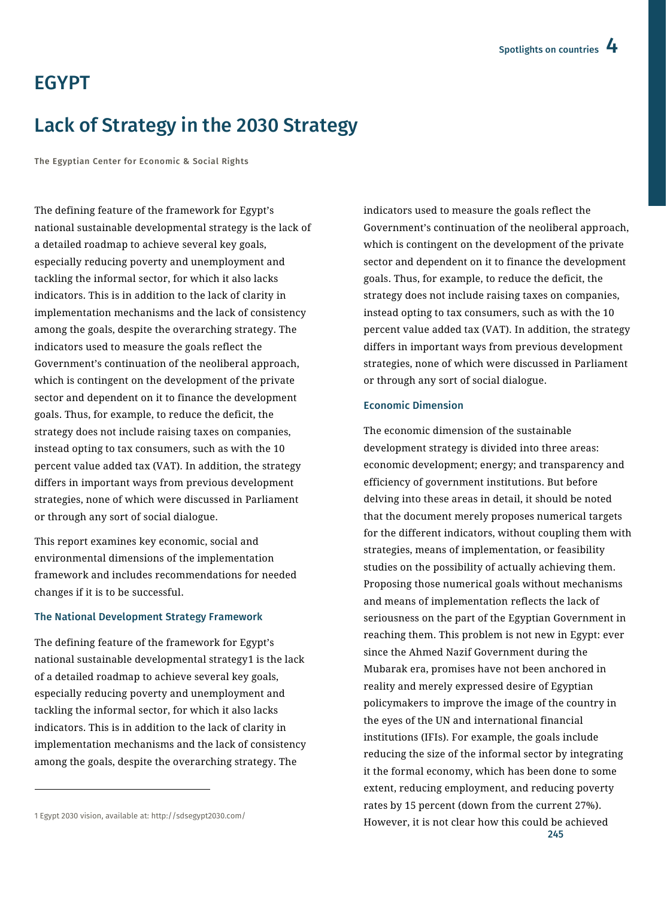# EGYPT

# Lack of Strategy in the 2030 Strategy

The Egyptian Center for Economic & Social Rights

The defining feature of the framework for Egypt's national sustainable developmental strategy is the lack of a detailed roadmap to achieve several key goals, especially reducing poverty and unemployment and tackling the informal sector, for which it also lacks indicators. This is in addition to the lack of clarity in implementation mechanisms and the lack of consistency among the goals, despite the overarching strategy. The indicators used to measure the goals reflect the Government's continuation of the neoliberal approach, which is contingent on the development of the private sector and dependent on it to finance the development goals. Thus, for example, to reduce the deficit, the strategy does not include raising taxes on companies, instead opting to tax consumers, such as with the 10 percent value added tax (VAT). In addition, the strategy differs in important ways from previous development strategies, none of which were discussed in Parliament or through any sort of social dialogue.

This report examines key economic, social and environmental dimensions of the implementation framework and includes recommendations for needed changes if it is to be successful.

#### The National Development Strategy Framework

The defining feature of the framework for Egypt's national sustainable developmental strategy1 is the lack of a detailed roadmap to achieve several key goals, especially reducing poverty and unemployment and tackling the informal sector, for which it also lacks indicators. This is in addition to the lack of clarity in implementation mechanisms and the lack of consistency among the goals, despite the overarching strategy. The

 $\overline{a}$ 

indicators used to measure the goals reflect the Government's continuation of the neoliberal approach, which is contingent on the development of the private sector and dependent on it to finance the development goals. Thus, for example, to reduce the deficit, the strategy does not include raising taxes on companies, instead opting to tax consumers, such as with the 10 percent value added tax (VAT). In addition, the strategy differs in important ways from previous development strategies, none of which were discussed in Parliament or through any sort of social dialogue.

#### Economic Dimension

245 The economic dimension of the sustainable development strategy is divided into three areas: economic development; energy; and transparency and efficiency of government institutions. But before delving into these areas in detail, it should be noted that the document merely proposes numerical targets for the different indicators, without coupling them with strategies, means of implementation, or feasibility studies on the possibility of actually achieving them. Proposing those numerical goals without mechanisms and means of implementation reflects the lack of seriousness on the part of the Egyptian Government in reaching them. This problem is not new in Egypt: ever since the Ahmed Nazif Government during the Mubarak era, promises have not been anchored in reality and merely expressed desire of Egyptian policymakers to improve the image of the country in the eyes of the UN and international financial institutions (IFIs). For example, the goals include reducing the size of the informal sector by integrating it the formal economy, which has been done to some extent, reducing employment, and reducing poverty rates by 15 percent (down from the current 27%). However, it is not clear how this could be achieved

<sup>1</sup> Egypt 2030 vision, available at[: http://sdsegypt2030.com/](http://sdsegypt2030.com/)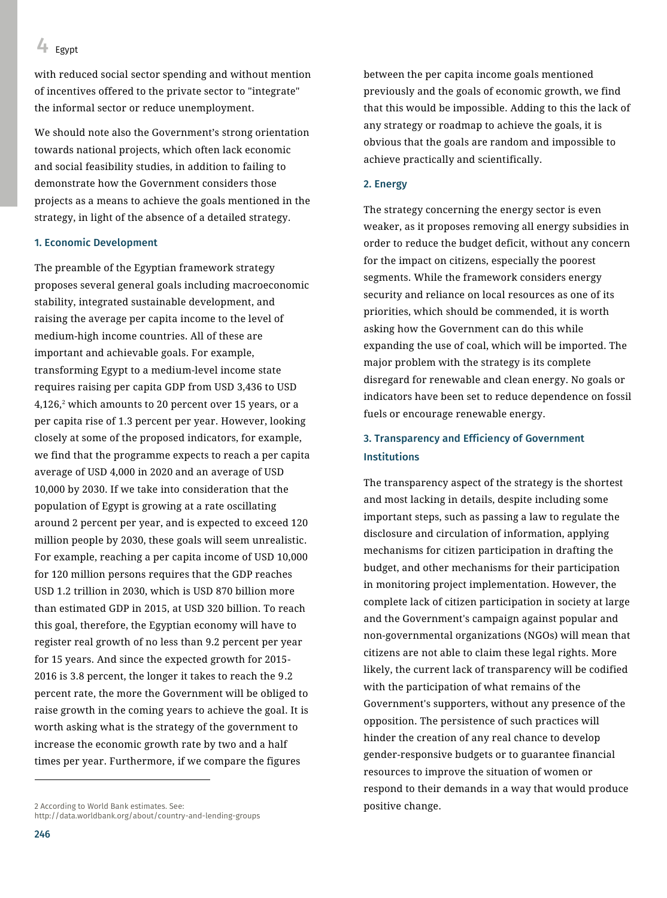## 4 Egypt

with reduced social sector spending and without mention of incentives offered to the private sector to "integrate" the informal sector or reduce unemployment.

We should note also the Government's strong orientation towards national projects, which often lack economic and social feasibility studies, in addition to failing to demonstrate how the Government considers those projects as a means to achieve the goals mentioned in the strategy, in light of the absence of a detailed strategy.

#### 1. Economic Development

The preamble of the Egyptian framework strategy proposes several general goals including macroeconomic stability, integrated sustainable development, and raising the average per capita income to the level of medium-high income countries. All of these are important and achievable goals. For example, transforming Egypt to a medium-level income state requires raising per capita GDP from USD 3,436 to USD 4,126,<sup>2</sup> which amounts to 20 percent over 15 years, or a per capita rise of 1.3 percent per year. However, looking closely at some of the proposed indicators, for example, we find that the programme expects to reach a per capita average of USD 4,000 in 2020 and an average of USD 10,000 by 2030. If we take into consideration that the population of Egypt is growing at a rate oscillating around 2 percent per year, and is expected to exceed 120 million people by 2030, these goals will seem unrealistic. For example, reaching a per capita income of USD 10,000 for 120 million persons requires that the GDP reaches USD 1.2 trillion in 2030, which is USD 870 billion more than estimated GDP in 2015, at USD 320 billion. To reach this goal, therefore, the Egyptian economy will have to register real growth of no less than 9.2 percent per year for 15 years. And since the expected growth for 2015- 2016 is 3.8 percent, the longer it takes to reach the 9.2 percent rate, the more the Government will be obliged to raise growth in the coming years to achieve the goal. It is worth asking what is the strategy of the government to increase the economic growth rate by two and a half times per year. Furthermore, if we compare the figures

between the per capita income goals mentioned previously and the goals of economic growth, we find that this would be impossible. Adding to this the lack of any strategy or roadmap to achieve the goals, it is obvious that the goals are random and impossible to achieve practically and scientifically.

#### 2. Energy

The strategy concerning the energy sector is even weaker, as it proposes removing all energy subsidies in order to reduce the budget deficit, without any concern for the impact on citizens, especially the poorest segments. While the framework considers energy security and reliance on local resources as one of its priorities, which should be commended, it is worth asking how the Government can do this while expanding the use of coal, which will be imported. The major problem with the strategy is its complete disregard for renewable and clean energy. No goals or indicators have been set to reduce dependence on fossil fuels or encourage renewable energy.

### 3. Transparency and Efficiency of Government Institutions

The transparency aspect of the strategy is the shortest and most lacking in details, despite including some important steps, such as passing a law to regulate the disclosure and circulation of information, applying mechanisms for citizen participation in drafting the budget, and other mechanisms for their participation in monitoring project implementation. However, the complete lack of citizen participation in society at large and the Government's campaign against popular and non-governmental organizations (NGOs) will mean that citizens are not able to claim these legal rights. More likely, the current lack of transparency will be codified with the participation of what remains of the Government's supporters, without any presence of the opposition. The persistence of such practices will hinder the creation of any real chance to develop gender-responsive budgets or to guarantee financial resources to improve the situation of women or respond to their demands in a way that would produce positive change.

 $\overline{a}$ 

<sup>2</sup> According to World Bank estimates. See: <http://data.worldbank.org/about/country-and-lending-groups>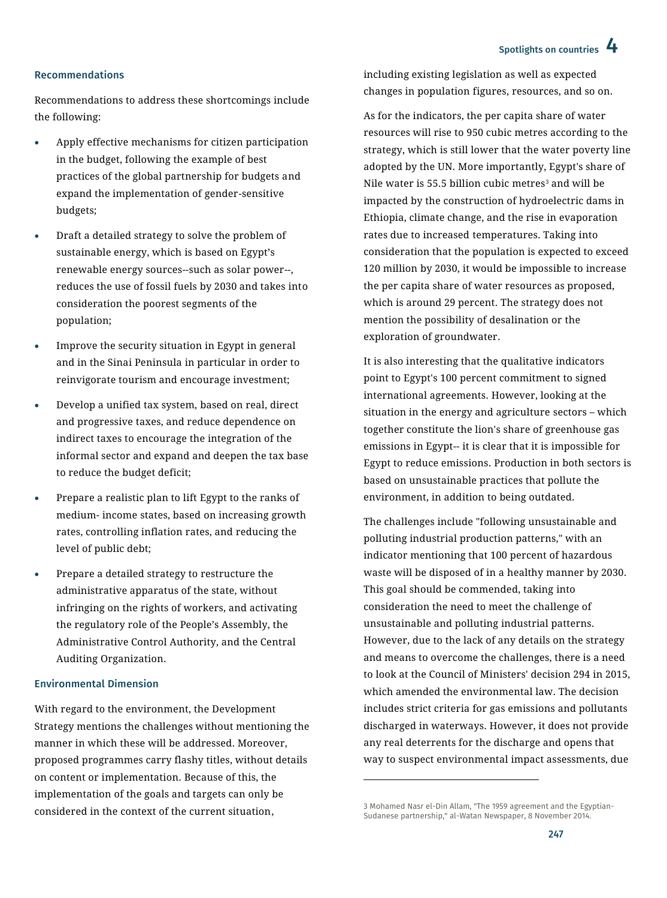## Spotlights on countries 4

#### Recommendations

Recommendations to address these shortcomings include the following:

- Apply effective mechanisms for citizen participation in the budget, following the example of best practices of the global partnership for budgets and expand the implementation of gender-sensitive budgets;
- Draft a detailed strategy to solve the problem of sustainable energy, which is based on Egypt's renewable energy sources--such as solar power--, reduces the use of fossil fuels by 2030 and takes into consideration the poorest segments of the population;
- Improve the security situation in Egypt in general and in the Sinai Peninsula in particular in order to reinvigorate tourism and encourage investment;
- Develop a unified tax system, based on real, direct and progressive taxes, and reduce dependence on indirect taxes to encourage the integration of the informal sector and expand and deepen the tax base to reduce the budget deficit;
- Prepare a realistic plan to lift Egypt to the ranks of medium- income states, based on increasing growth rates, controlling inflation rates, and reducing the level of public debt;
- Prepare a detailed strategy to restructure the administrative apparatus of the state, without infringing on the rights of workers, and activating the regulatory role of the People's Assembly, the Administrative Control Authority, and the Central Auditing Organization.

#### Environmental Dimension

With regard to the environment, the Development Strategy mentions the challenges without mentioning the manner in which these will be addressed. Moreover, proposed programmes carry flashy titles, without details on content or implementation. Because of this, the implementation of the goals and targets can only be considered in the context of the current situation,

including existing legislation as well as expected changes in population figures, resources, and so on.

As for the indicators, the per capita share of water resources will rise to 950 cubic metres according to the strategy, which is still lower that the water poverty line adopted by the UN. More importantly, Egypt's share of Nile water is 55.5 billion cubic metres<sup>3</sup> and will be impacted by the construction of hydroelectric dams in Ethiopia, climate change, and the rise in evaporation rates due to increased temperatures. Taking into consideration that the population is expected to exceed 120 million by 2030, it would be impossible to increase the per capita share of water resources as proposed, which is around 29 percent. The strategy does not mention the possibility of desalination or the exploration of groundwater.

It is also interesting that the qualitative indicators point to Egypt's 100 percent commitment to signed international agreements. However, looking at the situation in the energy and agriculture sectors – which together constitute the lion's share of greenhouse gas emissions in Egypt-- it is clear that it is impossible for Egypt to reduce emissions. Production in both sectors is based on unsustainable practices that pollute the environment, in addition to being outdated.

The challenges include "following unsustainable and polluting industrial production patterns," with an indicator mentioning that 100 percent of hazardous waste will be disposed of in a healthy manner by 2030. This goal should be commended, taking into consideration the need to meet the challenge of unsustainable and polluting industrial patterns. However, due to the lack of any details on the strategy and means to overcome the challenges, there is a need to look at the Council of Ministers' decision 294 in 2015, which amended the environmental law. The decision includes strict criteria for gas emissions and pollutants discharged in waterways. However, it does not provide any real deterrents for the discharge and opens that way to suspect environmental impact assessments, due

 $\overline{\phantom{a}}$ 

<sup>3</sup> Mohamed Nasr el-Din Allam, "The 1959 agreement and the Egyptian-Sudanese partnership," al-Watan Newspaper, 8 November 2014.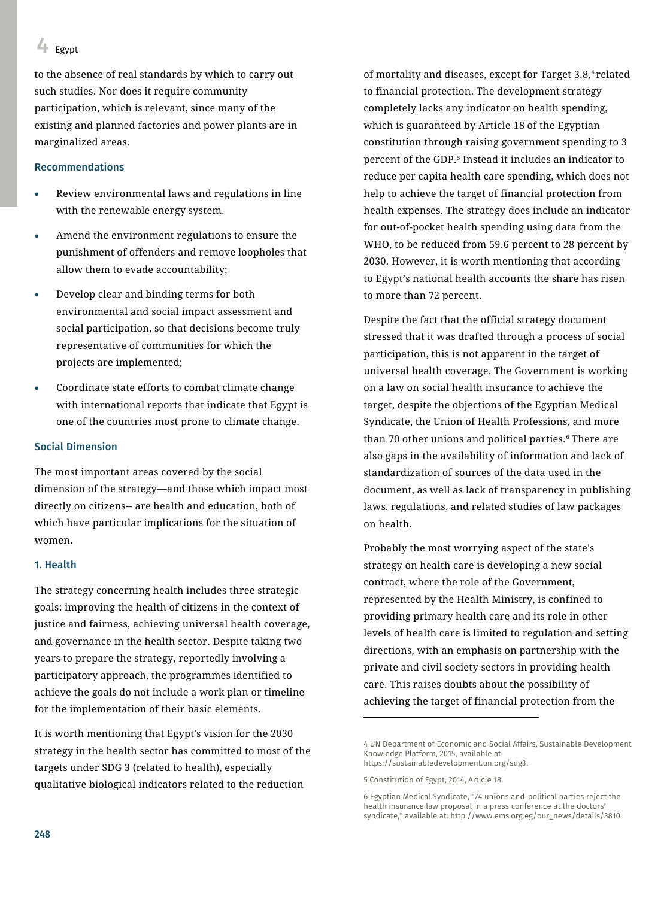## $4$  Egypt

to the absence of real standards by which to carry out such studies. Nor does it require community participation, which is relevant, since many of the existing and planned factories and power plants are in marginalized areas.

#### Recommendations

- Review environmental laws and regulations in line with the renewable energy system.
- Amend the environment regulations to ensure the punishment of offenders and remove loopholes that allow them to evade accountability;
- Develop clear and binding terms for both environmental and social impact assessment and social participation, so that decisions become truly representative of communities for which the projects are implemented;
- Coordinate state efforts to combat climate change with international reports that indicate that Egypt is one of the countries most prone to climate change.

#### Social Dimension

The most important areas covered by the social dimension of the strategy—and those which impact most directly on citizens-- are health and education, both of which have particular implications for the situation of women.

#### 1. Health

The strategy concerning health includes three strategic goals: improving the health of citizens in the context of justice and fairness, achieving universal health coverage, and governance in the health sector. Despite taking two years to prepare the strategy, reportedly involving a participatory approach, the programmes identified to achieve the goals do not include a work plan or timeline for the implementation of their basic elements.

It is worth mentioning that Egypt's vision for the 2030 strategy in the health sector has committed to most of the targets under SDG 3 (related to health), especially qualitative biological indicators related to the reduction

of mortality and diseases, except for Target 3.8,<sup>4</sup> related to financial protection. The development strategy completely lacks any indicator on health spending, which is guaranteed by Article 18 of the Egyptian constitution through raising government spending to 3 percent of the GDP.<sup>5</sup> Instead it includes an indicator to reduce per capita health care spending, which does not help to achieve the target of financial protection from health expenses. The strategy does include an indicator for out-of-pocket health spending using data from the WHO, to be reduced from 59.6 percent to 28 percent by 2030. However, it is worth mentioning that according to Egypt's national health accounts the share has risen to more than 72 percent.

Despite the fact that the official strategy document stressed that it was drafted through a process of social participation, this is not apparent in the target of universal health coverage. The Government is working on a law on social health insurance to achieve the target, despite the objections of the Egyptian Medical Syndicate, the Union of Health Professions, and more than 70 other unions and political parties.<sup>6</sup> There are also gaps in the availability of information and lack of standardization of sources of the data used in the document, as well as lack of transparency in publishing laws, regulations, and related studies of law packages on health.

Probably the most worrying aspect of the state's strategy on health care is developing a new social contract, where the role of the Government, represented by the Health Ministry, is confined to providing primary health care and its role in other levels of health care is limited to regulation and setting directions, with an emphasis on partnership with the private and civil society sectors in providing health care. This raises doubts about the possibility of achieving the target of financial protection from the

 $\overline{\phantom{a}}$ 

<sup>4</sup> UN Department of Economic and Social Affairs, Sustainable Development Knowledge Platform, 2015, available at: [https://sustainabledevelopment.un.org/sdg3.](https://sustainabledevelopment.un.org/sdg3)

<sup>5</sup> Constitution of Egypt, 2014, Article 18.

<sup>6</sup> Egyptian Medical Syndicate, "74 unions and political parties reject the health insurance law proposal in a press conference at the doctors' syndicate," available at: http://www.ems.org.eg/our\_news/details/3810.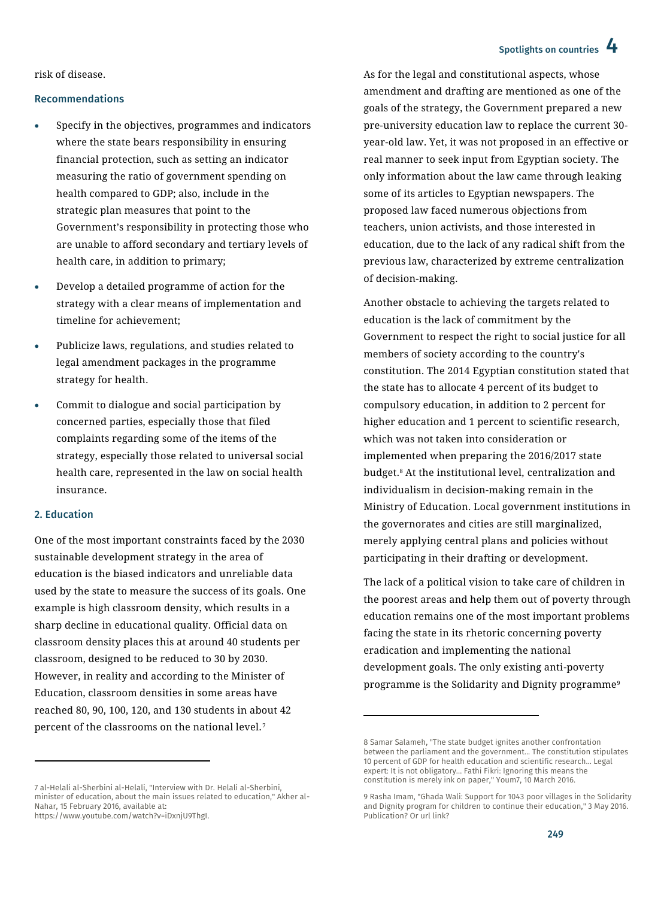## Spotlights on countries 4

risk of disease.

#### Recommendations

- Specify in the objectives, programmes and indicators where the state bears responsibility in ensuring financial protection, such as setting an indicator measuring the ratio of government spending on health compared to GDP; also, include in the strategic plan measures that point to the Government's responsibility in protecting those who are unable to afford secondary and tertiary levels of health care, in addition to primary;
- Develop a detailed programme of action for the strategy with a clear means of implementation and timeline for achievement;
- Publicize laws, regulations, and studies related to legal amendment packages in the programme strategy for health.
- Commit to dialogue and social participation by concerned parties, especially those that filed complaints regarding some of the items of the strategy, especially those related to universal social health care, represented in the law on social health insurance.

#### 2. Education

 $\ddot{\phantom{a}}$ 

One of the most important constraints faced by the 2030 sustainable development strategy in the area of education is the biased indicators and unreliable data used by the state to measure the success of its goals. One example is high classroom density, which results in a sharp decline in educational quality. Official data on classroom density places this at around 40 students per classroom, designed to be reduced to 30 by 2030. However, in reality and according to the Minister of Education, classroom densities in some areas have reached 80, 90, 100, 120, and 130 students in about 42 percent of the classrooms on the national level.<sup>7</sup>

As for the legal and constitutional aspects, whose amendment and drafting are mentioned as one of the goals of the strategy, the Government prepared a new pre-university education law to replace the current 30 year-old law. Yet, it was not proposed in an effective or real manner to seek input from Egyptian society. The only information about the law came through leaking some of its articles to Egyptian newspapers. The proposed law faced numerous objections from teachers, union activists, and those interested in education, due to the lack of any radical shift from the previous law, characterized by extreme centralization of decision-making.

Another obstacle to achieving the targets related to education is the lack of commitment by the Government to respect the right to social justice for all members of society according to the country's constitution. The 2014 Egyptian constitution stated that the state has to allocate 4 percent of its budget to compulsory education, in addition to 2 percent for higher education and 1 percent to scientific research, which was not taken into consideration or implemented when preparing the 2016/2017 state budget.<sup>8</sup> At the institutional level, centralization and individualism in decision-making remain in the Ministry of Education. Local government institutions in the governorates and cities are still marginalized, merely applying central plans and policies without participating in their drafting or development.

The lack of a political vision to take care of children in the poorest areas and help them out of poverty through education remains one of the most important problems facing the state in its rhetoric concerning poverty eradication and implementing the national development goals. The only existing anti-poverty programme is the Solidarity and Dignity programme<sup>9</sup>

 $\overline{a}$ 

<sup>7</sup> al-Helali al-Sherbini al-Helali, "Interview with Dr. Helali al-Sherbini, minister of education, about the main issues related to education," Akher al-Nahar, 15 February 2016, available at: [https://www.youtube.com/watch?v=iDxnjU9ThgI.](https://www.youtube.com/watch?v=iDxnjU9ThgI)

<sup>8</sup> Samar Salameh, "The state budget ignites another confrontation between the parliament and the government... The constitution stipulates 10 percent of GDP for health education and scientific research... Legal expert: It is not obligatory... Fathi Fikri: Ignoring this means the constitution is merely ink on paper," Youm7, 10 March 2016.

<sup>9</sup> Rasha Imam, "Ghada Wali: Support for 1043 poor villages in the Solidarity and Dignity program for children to continue their education," 3 May 2016. Publication? Or url link?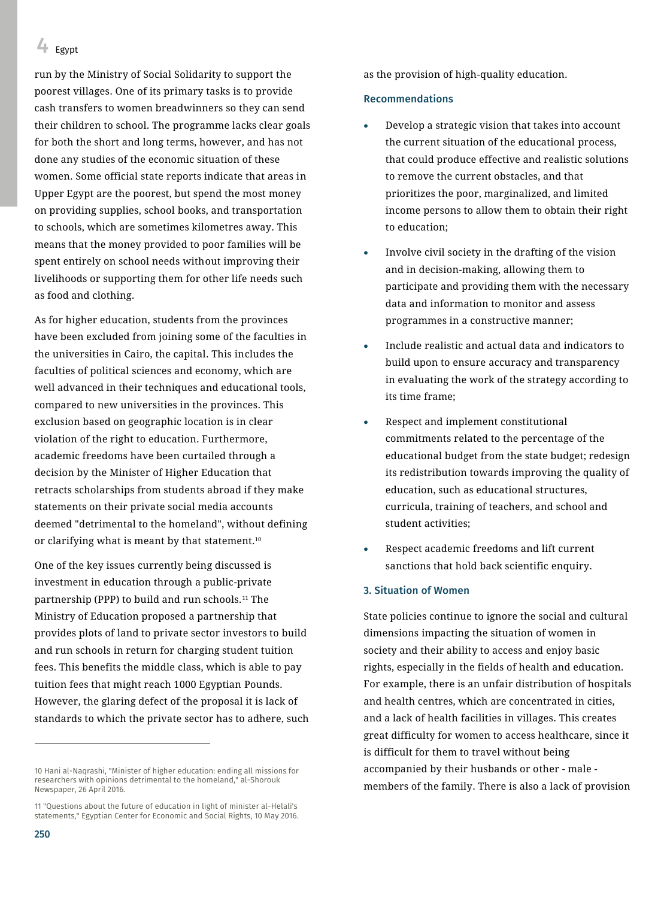$4$  Egypt

run by the Ministry of Social Solidarity to support the poorest villages. One of its primary tasks is to provide cash transfers to women breadwinners so they can send their children to school. The programme lacks clear goals for both the short and long terms, however, and has not done any studies of the economic situation of these women. Some official state reports indicate that areas in Upper Egypt are the poorest, but spend the most money on providing supplies, school books, and transportation to schools, which are sometimes kilometres away. This means that the money provided to poor families will be spent entirely on school needs without improving their livelihoods or supporting them for other life needs such as food and clothing.

As for higher education, students from the provinces have been excluded from joining some of the faculties in the universities in Cairo, the capital. This includes the faculties of political sciences and economy, which are well advanced in their techniques and educational tools, compared to new universities in the provinces. This exclusion based on geographic location is in clear violation of the right to education. Furthermore, academic freedoms have been curtailed through a decision by the Minister of Higher Education that retracts scholarships from students abroad if they make statements on their private social media accounts deemed "detrimental to the homeland", without defining or clarifying what is meant by that statement.<sup>10</sup>

One of the key issues currently being discussed is investment in education through a public-private partnership (PPP) to build and run schools.<sup>11</sup> The Ministry of Education proposed a partnership that provides plots of land to private sector investors to build and run schools in return for charging student tuition fees. This benefits the middle class, which is able to pay tuition fees that might reach 1000 Egyptian Pounds. However, the glaring defect of the proposal it is lack of standards to which the private sector has to adhere, such

10 Hani al-Naqrashi, "Minister of higher education: ending all missions for researchers with opinions detrimental to the homeland," al-Shorouk Newspaper, 26 April 2016.

11 "Questions about the future of education in light of minister al-Helali's statements," Egyptian Center for Economic and Social Rights, 10 May 2016. as the provision of high-quality education.

#### Recommendations

- Develop a strategic vision that takes into account the current situation of the educational process, that could produce effective and realistic solutions to remove the current obstacles, and that prioritizes the poor, marginalized, and limited income persons to allow them to obtain their right to education;
- Involve civil society in the drafting of the vision and in decision-making, allowing them to participate and providing them with the necessary data and information to monitor and assess programmes in a constructive manner;
- Include realistic and actual data and indicators to build upon to ensure accuracy and transparency in evaluating the work of the strategy according to its time frame;
- Respect and implement constitutional commitments related to the percentage of the educational budget from the state budget; redesign its redistribution towards improving the quality of education, such as educational structures, curricula, training of teachers, and school and student activities;
- Respect academic freedoms and lift current sanctions that hold back scientific enquiry.

#### 3. Situation of Women

State policies continue to ignore the social and cultural dimensions impacting the situation of women in society and their ability to access and enjoy basic rights, especially in the fields of health and education. For example, there is an unfair distribution of hospitals and health centres, which are concentrated in cities, and a lack of health facilities in villages. This creates great difficulty for women to access healthcare, since it is difficult for them to travel without being accompanied by their husbands or other - male members of the family. There is also a lack of provision

 $\overline{a}$